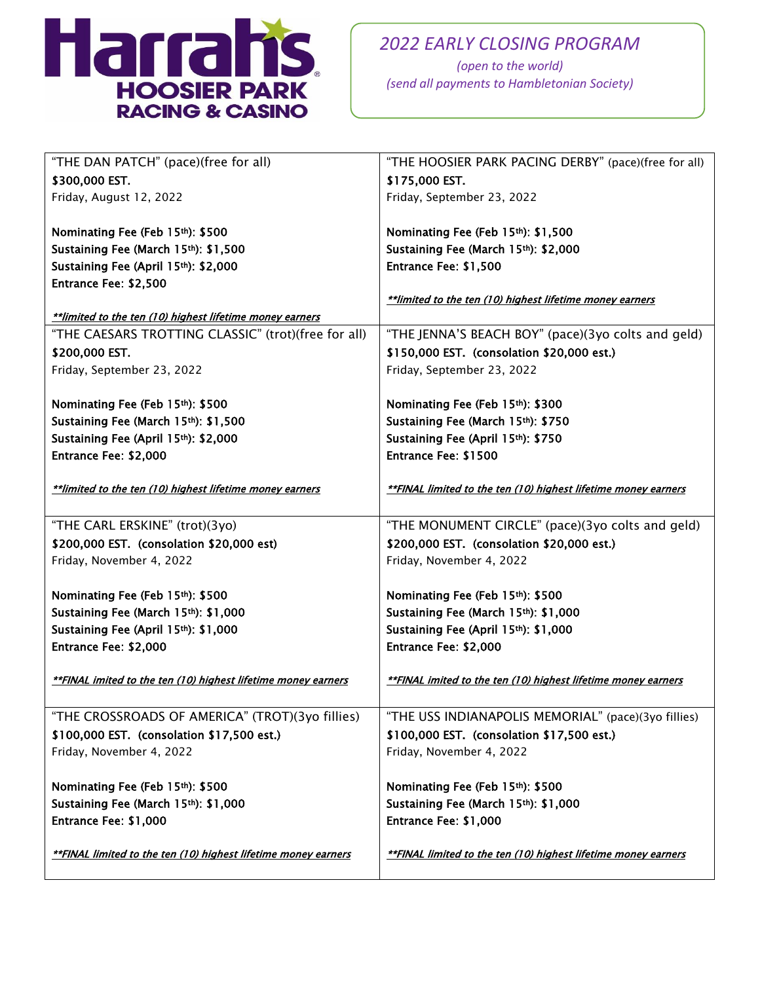

*(open to the world) (send all payments to Hambletonian Society)*

| "THE DAN PATCH" (pace)(free for all)                           | "THE HOOSIER PARK PACING DERBY" (pace)(free for all)           |
|----------------------------------------------------------------|----------------------------------------------------------------|
| \$300,000 EST.                                                 | \$175,000 EST.                                                 |
| Friday, August 12, 2022                                        | Friday, September 23, 2022                                     |
|                                                                |                                                                |
| Nominating Fee (Feb 15th): \$500                               | Nominating Fee (Feb 15th): \$1,500                             |
| Sustaining Fee (March 15th): \$1,500                           | Sustaining Fee (March 15th): \$2,000                           |
| Sustaining Fee (April 15th): \$2,000                           | Entrance Fee: \$1,500                                          |
| Entrance Fee: \$2,500                                          |                                                                |
|                                                                | ** limited to the ten (10) highest lifetime money earners      |
| **limited to the ten (10) highest lifetime money earners       |                                                                |
| "THE CAESARS TROTTING CLASSIC" (trot)(free for all)            | "THE JENNA'S BEACH BOY" (pace)(3yo colts and geld)             |
| \$200,000 EST.                                                 | \$150,000 EST. (consolation \$20,000 est.)                     |
| Friday, September 23, 2022                                     | Friday, September 23, 2022                                     |
|                                                                |                                                                |
| Nominating Fee (Feb 15th): \$500                               | Nominating Fee (Feb 15th): \$300                               |
| Sustaining Fee (March 15th): \$1,500                           | Sustaining Fee (March 15th): \$750                             |
| Sustaining Fee (April 15th): \$2,000                           | Sustaining Fee (April 15th): \$750                             |
| Entrance Fee: \$2,000                                          | <b>Entrance Fee: \$1500</b>                                    |
|                                                                |                                                                |
| **limited to the ten (10) highest lifetime money earners       | **FINAL limited to the ten (10) highest lifetime money earners |
|                                                                |                                                                |
| "THE CARL ERSKINE" (trot)(3yo)                                 | "THE MONUMENT CIRCLE" (pace)(3yo colts and geld)               |
| \$200,000 EST. (consolation \$20,000 est)                      | \$200,000 EST. (consolation \$20,000 est.)                     |
| Friday, November 4, 2022                                       | Friday, November 4, 2022                                       |
| Nominating Fee (Feb 15th): \$500                               | Nominating Fee (Feb 15th): \$500                               |
| Sustaining Fee (March 15th): \$1,000                           | Sustaining Fee (March 15th): \$1,000                           |
| Sustaining Fee (April 15th): \$1,000                           | Sustaining Fee (April 15th): \$1,000                           |
| Entrance Fee: \$2,000                                          | Entrance Fee: \$2,000                                          |
|                                                                |                                                                |
| **FINAL imited to the ten (10) highest lifetime money earners  | **FINAL imited to the ten (10) highest lifetime money earners  |
|                                                                |                                                                |
| "THE CROSSROADS OF AMERICA" (TROT)(3yo fillies)                | "THE USS INDIANAPOLIS MEMORIAL" (pace)(3yo fillies)            |
| \$100,000 EST. (consolation \$17,500 est.)                     | \$100,000 EST. (consolation \$17,500 est.)                     |
| Friday, November 4, 2022                                       | Friday, November 4, 2022                                       |
|                                                                |                                                                |
| Nominating Fee (Feb 15th): \$500                               | Nominating Fee (Feb 15th): \$500                               |
|                                                                |                                                                |
| Sustaining Fee (March 15th): \$1,000                           | Sustaining Fee (March 15th): \$1,000                           |
| Entrance Fee: \$1,000                                          | Entrance Fee: \$1,000                                          |
|                                                                |                                                                |
| **FINAL limited to the ten (10) highest lifetime money earners | **FINAL limited to the ten (10) highest lifetime money earners |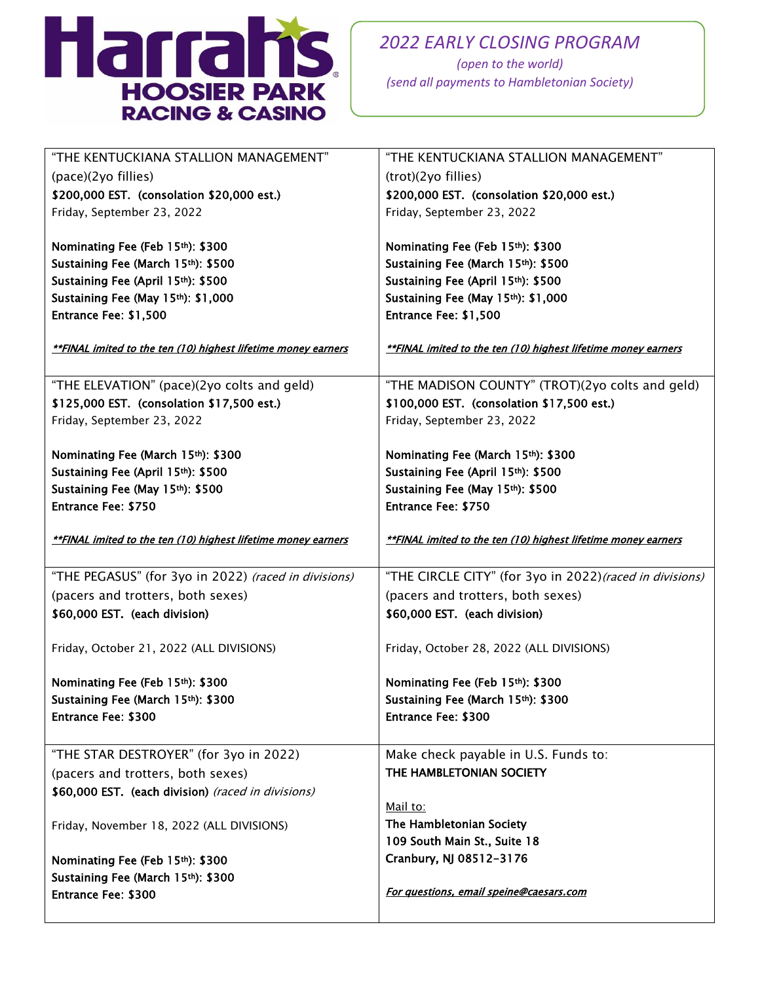

*(open to the world) (send all payments to Hambletonian Society)*

| "THE KENTUCKIANA STALLION MANAGEMENT"                                  | "THE KENTUCKIANA STALLION MANAGEMENT"                         |
|------------------------------------------------------------------------|---------------------------------------------------------------|
| (pace)(2yo fillies)                                                    | (trot)(2yo fillies)                                           |
| \$200,000 EST. (consolation \$20,000 est.)                             | \$200,000 EST. (consolation \$20,000 est.)                    |
| Friday, September 23, 2022                                             | Friday, September 23, 2022                                    |
|                                                                        |                                                               |
| Nominating Fee (Feb 15th): \$300                                       | Nominating Fee (Feb 15th): \$300                              |
| Sustaining Fee (March 15th): \$500                                     | Sustaining Fee (March 15th): \$500                            |
| Sustaining Fee (April 15th): \$500                                     | Sustaining Fee (April 15th): \$500                            |
| Sustaining Fee (May 15th): \$1,000                                     | Sustaining Fee (May 15th): \$1,000                            |
| Entrance Fee: \$1,500                                                  | Entrance Fee: \$1,500                                         |
|                                                                        |                                                               |
| **FINAL imited to the ten (10) highest lifetime money earners          | **FINAL imited to the ten (10) highest lifetime money earners |
| "THE ELEVATION" (pace)(2yo colts and geld)                             | "THE MADISON COUNTY" (TROT)(2yo colts and geld)               |
| \$125,000 EST. (consolation \$17,500 est.)                             | \$100,000 EST. (consolation \$17,500 est.)                    |
| Friday, September 23, 2022                                             | Friday, September 23, 2022                                    |
|                                                                        |                                                               |
| Nominating Fee (March 15th): \$300                                     | Nominating Fee (March 15th): \$300                            |
| Sustaining Fee (April 15th): \$500                                     | Sustaining Fee (April 15th): \$500                            |
| Sustaining Fee (May 15th): \$500                                       | Sustaining Fee (May 15th): \$500                              |
| <b>Entrance Fee: \$750</b>                                             | <b>Entrance Fee: \$750</b>                                    |
|                                                                        |                                                               |
| **FINAL imited to the ten (10) highest lifetime money earners          | **FINAL imited to the ten (10) highest lifetime money earners |
|                                                                        |                                                               |
| "THE PEGASUS" (for 3yo in 2022) (raced in divisions)                   | "THE CIRCLE CITY" (for 3yo in 2022) (raced in divisions)      |
| (pacers and trotters, both sexes)                                      | (pacers and trotters, both sexes)                             |
| \$60,000 EST. (each division)                                          | \$60,000 EST. (each division)                                 |
|                                                                        |                                                               |
| Friday, October 21, 2022 (ALL DIVISIONS)                               | Friday, October 28, 2022 (ALL DIVISIONS)                      |
| Nominating Fee (Feb 15th): \$300                                       | Nominating Fee (Feb 15th): \$300                              |
| Sustaining Fee (March 15th): \$300                                     | Sustaining Fee (March 15th): \$300                            |
| <b>Entrance Fee: \$300</b>                                             | <b>Entrance Fee: \$300</b>                                    |
|                                                                        |                                                               |
| "THE STAR DESTROYER" (for 3yo in 2022)                                 | Make check payable in U.S. Funds to:                          |
| (pacers and trotters, both sexes)                                      | THE HAMBLETONIAN SOCIETY                                      |
| \$60,000 EST. (each division) (raced in divisions)                     |                                                               |
|                                                                        | Mail to:                                                      |
| Friday, November 18, 2022 (ALL DIVISIONS)                              | The Hambletonian Society                                      |
|                                                                        |                                                               |
|                                                                        | 109 South Main St., Suite 18                                  |
|                                                                        | Cranbury, NJ 08512-3176                                       |
| Nominating Fee (Feb 15th): \$300<br>Sustaining Fee (March 15th): \$300 |                                                               |
| <b>Entrance Fee: \$300</b>                                             | For questions, email speine@caesars.com                       |